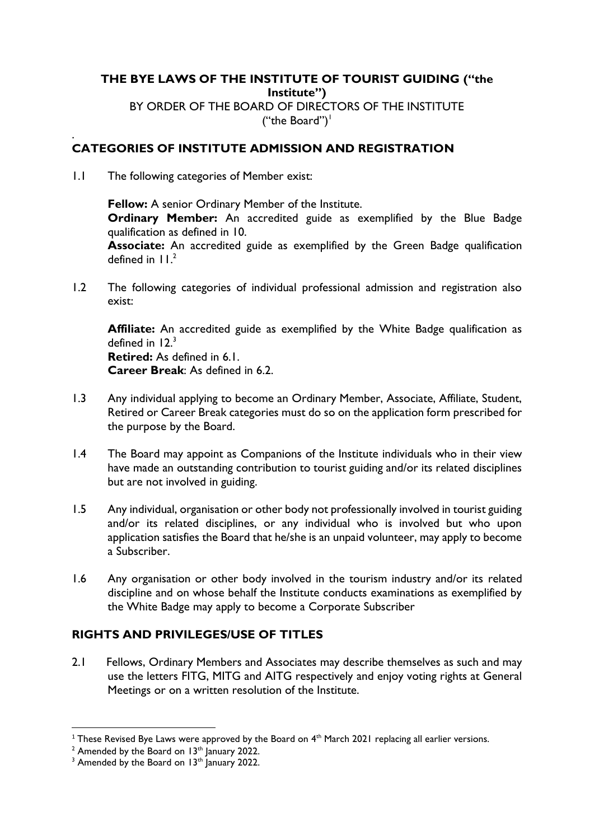#### **THE BYE LAWS OF THE INSTITUTE OF TOURIST GUIDING ("the Institute")** BY ORDER OF THE BOARD OF DIRECTORS OF THE INSTITUTE ("the Board") $\vert$

#### . **CATEGORIES OF INSTITUTE ADMISSION AND REGISTRATION**

1.1 The following categories of Member exist:

**Fellow:** A senior Ordinary Member of the Institute. **Ordinary Member:** An accredited guide as exemplified by the Blue Badge qualification as defined in 10.

**Associate:** An accredited guide as exemplified by the Green Badge qualification defined in  $11<sup>2</sup>$ 

1.2 The following categories of individual professional admission and registration also exist:

**Affiliate:** An accredited guide as exemplified by the White Badge qualification as defined in  $12<sup>3</sup>$ **Retired:** As defined in 6.1.

**Career Break**: As defined in 6.2.

- 1.3 Any individual applying to become an Ordinary Member, Associate, Affiliate, Student, Retired or Career Break categories must do so on the application form prescribed for the purpose by the Board.
- 1.4 The Board may appoint as Companions of the Institute individuals who in their view have made an outstanding contribution to tourist guiding and/or its related disciplines but are not involved in guiding.
- 1.5 Any individual, organisation or other body not professionally involved in tourist guiding and/or its related disciplines, or any individual who is involved but who upon application satisfies the Board that he/she is an unpaid volunteer, may apply to become a Subscriber.
- 1.6 Any organisation or other body involved in the tourism industry and/or its related discipline and on whose behalf the Institute conducts examinations as exemplified by the White Badge may apply to become a Corporate Subscriber

### **RIGHTS AND PRIVILEGES/USE OF TITLES**

2.1 Fellows, Ordinary Members and Associates may describe themselves as such and may use the letters FITG, MITG and AITG respectively and enjoy voting rights at General Meetings or on a written resolution of the Institute.

 $^{\rm 1}$  These Revised Bye Laws were approved by the Board on 4<sup>th</sup> March 2021 replacing all earlier versions.

 $2$  Amended by the Board on 13<sup>th</sup> January 2022.

 $3$  Amended by the Board on 13<sup>th</sup> January 2022.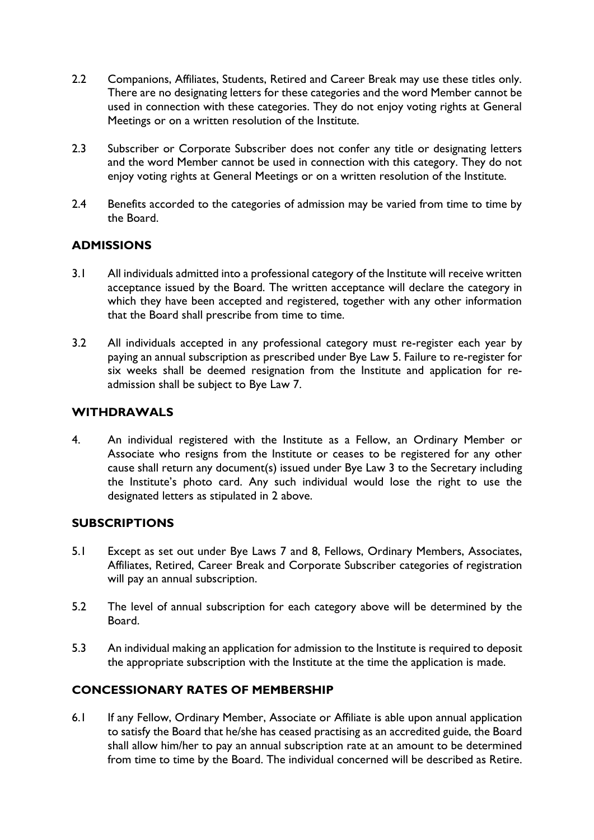- 2.2 Companions, Affiliates, Students, Retired and Career Break may use these titles only. There are no designating letters for these categories and the word Member cannot be used in connection with these categories. They do not enjoy voting rights at General Meetings or on a written resolution of the Institute.
- 2.3 Subscriber or Corporate Subscriber does not confer any title or designating letters and the word Member cannot be used in connection with this category. They do not enjoy voting rights at General Meetings or on a written resolution of the Institute.
- 2.4 Benefits accorded to the categories of admission may be varied from time to time by the Board.

### **ADMISSIONS**

- 3.1 All individuals admitted into a professional category of the Institute will receive written acceptance issued by the Board. The written acceptance will declare the category in which they have been accepted and registered, together with any other information that the Board shall prescribe from time to time.
- 3.2 All individuals accepted in any professional category must re-register each year by paying an annual subscription as prescribed under Bye Law 5. Failure to re-register for six weeks shall be deemed resignation from the Institute and application for readmission shall be subject to Bye Law 7.

### **WITHDRAWALS**

4. An individual registered with the Institute as a Fellow, an Ordinary Member or Associate who resigns from the Institute or ceases to be registered for any other cause shall return any document(s) issued under Bye Law 3 to the Secretary including the Institute's photo card. Any such individual would lose the right to use the designated letters as stipulated in 2 above.

### **SUBSCRIPTIONS**

- 5.1 Except as set out under Bye Laws 7 and 8, Fellows, Ordinary Members, Associates, Affiliates, Retired, Career Break and Corporate Subscriber categories of registration will pay an annual subscription.
- 5.2 The level of annual subscription for each category above will be determined by the Board.
- 5.3 An individual making an application for admission to the Institute is required to deposit the appropriate subscription with the Institute at the time the application is made.

## **CONCESSIONARY RATES OF MEMBERSHIP**

6.1 If any Fellow, Ordinary Member, Associate or Affiliate is able upon annual application to satisfy the Board that he/she has ceased practising as an accredited guide, the Board shall allow him/her to pay an annual subscription rate at an amount to be determined from time to time by the Board. The individual concerned will be described as Retire.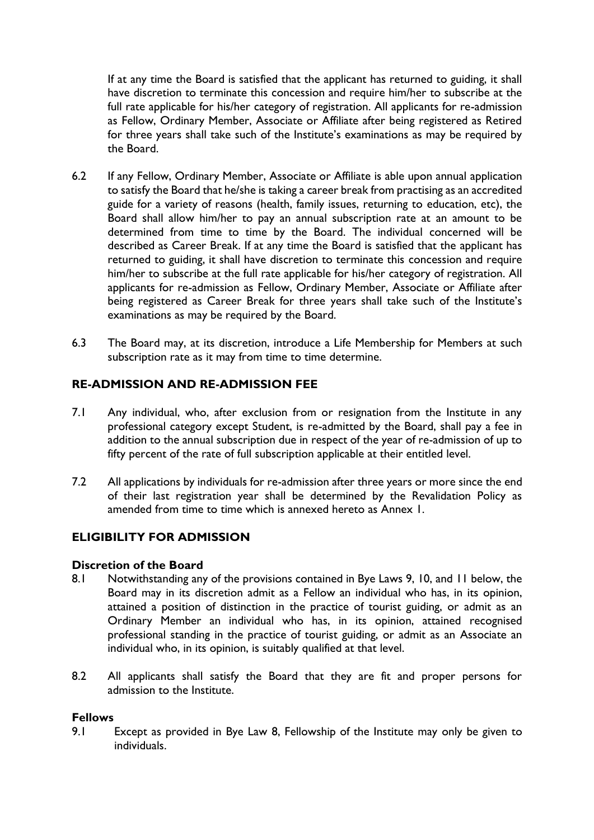If at any time the Board is satisfied that the applicant has returned to guiding, it shall have discretion to terminate this concession and require him/her to subscribe at the full rate applicable for his/her category of registration. All applicants for re-admission as Fellow, Ordinary Member, Associate or Affiliate after being registered as Retired for three years shall take such of the Institute's examinations as may be required by the Board.

- 6.2 If any Fellow, Ordinary Member, Associate or Affiliate is able upon annual application to satisfy the Board that he/she is taking a career break from practising as an accredited guide for a variety of reasons (health, family issues, returning to education, etc), the Board shall allow him/her to pay an annual subscription rate at an amount to be determined from time to time by the Board. The individual concerned will be described as Career Break. If at any time the Board is satisfied that the applicant has returned to guiding, it shall have discretion to terminate this concession and require him/her to subscribe at the full rate applicable for his/her category of registration. All applicants for re-admission as Fellow, Ordinary Member, Associate or Affiliate after being registered as Career Break for three years shall take such of the Institute's examinations as may be required by the Board.
- 6.3 The Board may, at its discretion, introduce a Life Membership for Members at such subscription rate as it may from time to time determine.

### **RE-ADMISSION AND RE-ADMISSION FEE**

- 7.1 Any individual, who, after exclusion from or resignation from the Institute in any professional category except Student, is re-admitted by the Board, shall pay a fee in addition to the annual subscription due in respect of the year of re-admission of up to fifty percent of the rate of full subscription applicable at their entitled level.
- 7.2 All applications by individuals for re-admission after three years or more since the end of their last registration year shall be determined by the Revalidation Policy as amended from time to time which is annexed hereto as Annex 1.

### **ELIGIBILITY FOR ADMISSION**

#### **Discretion of the Board**

- 8.1 Notwithstanding any of the provisions contained in Bye Laws 9, 10, and 11 below, the Board may in its discretion admit as a Fellow an individual who has, in its opinion, attained a position of distinction in the practice of tourist guiding, or admit as an Ordinary Member an individual who has, in its opinion, attained recognised professional standing in the practice of tourist guiding, or admit as an Associate an individual who, in its opinion, is suitably qualified at that level.
- 8.2 All applicants shall satisfy the Board that they are fit and proper persons for admission to the Institute.

#### **Fellows**

9.1 Except as provided in Bye Law 8, Fellowship of the Institute may only be given to individuals.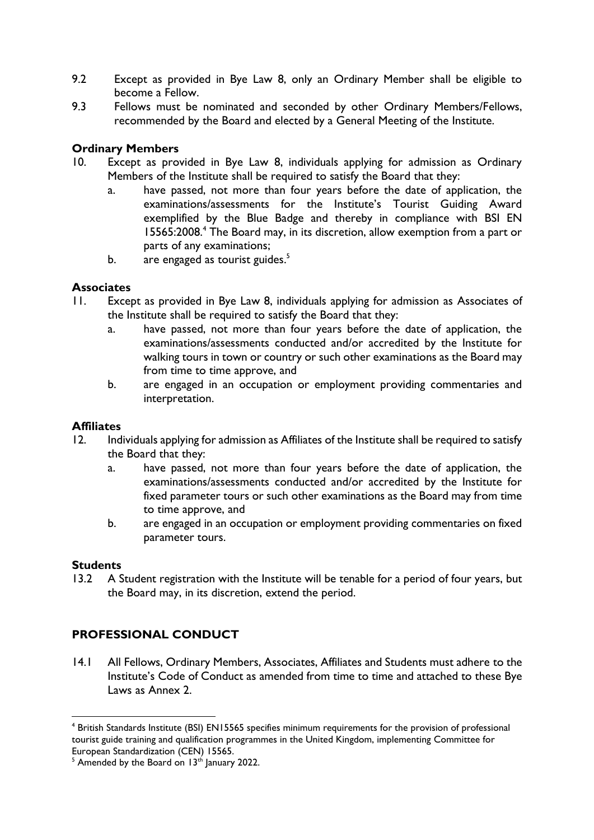- 9.2 Except as provided in Bye Law 8, only an Ordinary Member shall be eligible to become a Fellow.
- 9.3 Fellows must be nominated and seconded by other Ordinary Members/Fellows, recommended by the Board and elected by a General Meeting of the Institute.

### **Ordinary Members**

- 10. Except as provided in Bye Law 8, individuals applying for admission as Ordinary Members of the Institute shall be required to satisfy the Board that they:
	- a. have passed, not more than four years before the date of application, the examinations/assessments for the Institute's Tourist Guiding Award exemplified by the Blue Badge and thereby in compliance with BSI EN 15565:2008.<sup>4</sup> The Board may, in its discretion, allow exemption from a part or parts of any examinations;
	- b.  $\arctan 25$  are engaged as tourist guides.<sup>5</sup>

#### **Associates**

- 11. Except as provided in Bye Law 8, individuals applying for admission as Associates of the Institute shall be required to satisfy the Board that they:
	- a. have passed, not more than four years before the date of application, the examinations/assessments conducted and/or accredited by the Institute for walking tours in town or country or such other examinations as the Board may from time to time approve, and
	- b. are engaged in an occupation or employment providing commentaries and interpretation.

#### **Affiliates**

- 12. Individuals applying for admission as Affiliates of the Institute shall be required to satisfy the Board that they:
	- a. have passed, not more than four years before the date of application, the examinations/assessments conducted and/or accredited by the Institute for fixed parameter tours or such other examinations as the Board may from time to time approve, and
	- b. are engaged in an occupation or employment providing commentaries on fixed parameter tours.

#### **Students**

13.2 A Student registration with the Institute will be tenable for a period of four years, but the Board may, in its discretion, extend the period.

## **PROFESSIONAL CONDUCT**

14.1 All Fellows, Ordinary Members, Associates, Affiliates and Students must adhere to the Institute's Code of Conduct as amended from time to time and attached to these Bye Laws as Annex 2.

<sup>4</sup> British Standards Institute (BSI) EN15565 specifies minimum requirements for the provision of professional tourist guide training and qualification programmes in the United Kingdom, implementing Committee for European Standardization (CEN) 15565.

 $<sup>5</sup>$  Amended by the Board on 13<sup>th</sup> January 2022.</sup>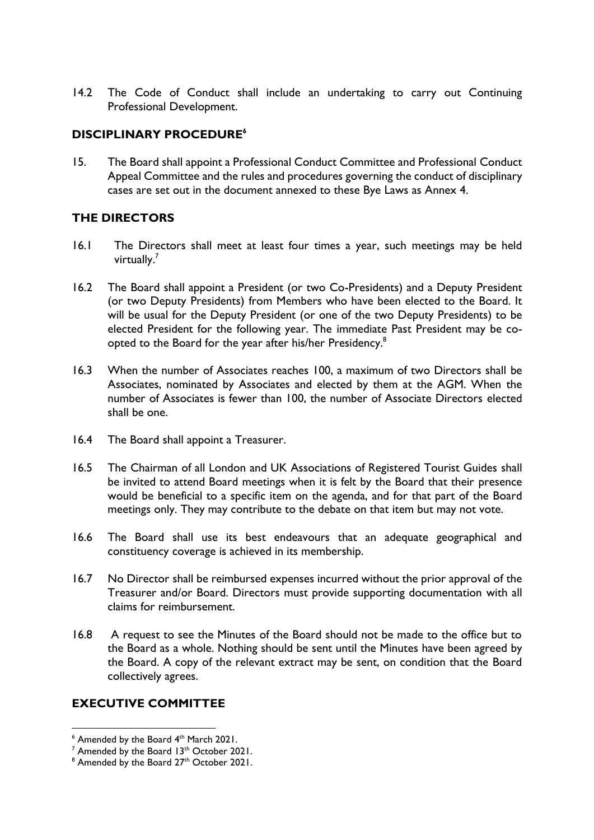14.2 The Code of Conduct shall include an undertaking to carry out Continuing Professional Development.

## **DISCIPLINARY PROCEDURE<sup>6</sup>**

15. The Board shall appoint a Professional Conduct Committee and Professional Conduct Appeal Committee and the rules and procedures governing the conduct of disciplinary cases are set out in the document annexed to these Bye Laws as Annex 4.

### **THE DIRECTORS**

- 16.1 The Directors shall meet at least four times a year, such meetings may be held virtually.<sup>7</sup>
- 16.2 The Board shall appoint a President (or two Co-Presidents) and a Deputy President (or two Deputy Presidents) from Members who have been elected to the Board. It will be usual for the Deputy President (or one of the two Deputy Presidents) to be elected President for the following year. The immediate Past President may be coopted to the Board for the year after his/her Presidency.<sup>8</sup>
- 16.3 When the number of Associates reaches 100, a maximum of two Directors shall be Associates, nominated by Associates and elected by them at the AGM. When the number of Associates is fewer than 100, the number of Associate Directors elected shall be one.
- 16.4 The Board shall appoint a Treasurer.
- 16.5 The Chairman of all London and UK Associations of Registered Tourist Guides shall be invited to attend Board meetings when it is felt by the Board that their presence would be beneficial to a specific item on the agenda, and for that part of the Board meetings only. They may contribute to the debate on that item but may not vote.
- 16.6 The Board shall use its best endeavours that an adequate geographical and constituency coverage is achieved in its membership.
- 16.7 No Director shall be reimbursed expenses incurred without the prior approval of the Treasurer and/or Board. Directors must provide supporting documentation with all claims for reimbursement.
- 16.8 A request to see the Minutes of the Board should not be made to the office but to the Board as a whole. Nothing should be sent until the Minutes have been agreed by the Board. A copy of the relevant extract may be sent, on condition that the Board collectively agrees.

## **EXECUTIVE COMMITTEE**

 $6$  Amended by the Board  $4<sup>th</sup>$  March 2021.

 $7$  Amended by the Board 13<sup>th</sup> October 2021.

 $8$  Amended by the Board 27<sup>th</sup> October 2021.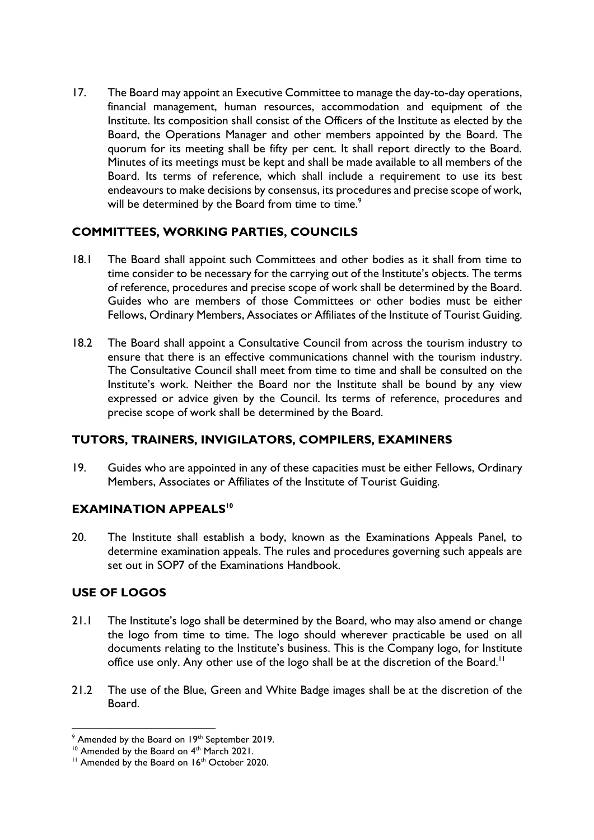17. The Board may appoint an Executive Committee to manage the day-to-day operations, financial management, human resources, accommodation and equipment of the Institute. Its composition shall consist of the Officers of the Institute as elected by the Board, the Operations Manager and other members appointed by the Board. The quorum for its meeting shall be fifty per cent. It shall report directly to the Board. Minutes of its meetings must be kept and shall be made available to all members of the Board. Its terms of reference, which shall include a requirement to use its best endeavours to make decisions by consensus, its procedures and precise scope of work, will be determined by the Board from time to time.<sup>9</sup>

## **COMMITTEES, WORKING PARTIES, COUNCILS**

- 18.1 The Board shall appoint such Committees and other bodies as it shall from time to time consider to be necessary for the carrying out of the Institute's objects. The terms of reference, procedures and precise scope of work shall be determined by the Board. Guides who are members of those Committees or other bodies must be either Fellows, Ordinary Members, Associates or Affiliates of the Institute of Tourist Guiding.
- 18.2 The Board shall appoint a Consultative Council from across the tourism industry to ensure that there is an effective communications channel with the tourism industry. The Consultative Council shall meet from time to time and shall be consulted on the Institute's work. Neither the Board nor the Institute shall be bound by any view expressed or advice given by the Council. Its terms of reference, procedures and precise scope of work shall be determined by the Board.

### **TUTORS, TRAINERS, INVIGILATORS, COMPILERS, EXAMINERS**

19. Guides who are appointed in any of these capacities must be either Fellows, Ordinary Members, Associates or Affiliates of the Institute of Tourist Guiding.

### **EXAMINATION APPEALS<sup>10</sup>**

20. The Institute shall establish a body, known as the Examinations Appeals Panel, to determine examination appeals. The rules and procedures governing such appeals are set out in SOP7 of the Examinations Handbook.

## **USE OF LOGOS**

- 21.1 The Institute's logo shall be determined by the Board, who may also amend or change the logo from time to time. The logo should wherever practicable be used on all documents relating to the Institute's business. This is the Company logo, for Institute office use only. Any other use of the logo shall be at the discretion of the Board.<sup>11</sup>
- 21.2 The use of the Blue, Green and White Badge images shall be at the discretion of the Board.

<sup>&</sup>lt;sup>9</sup> Amended by the Board on 19<sup>th</sup> September 2019.

<sup>&</sup>lt;sup>10</sup> Amended by the Board on 4<sup>th</sup> March 2021.

<sup>&</sup>lt;sup>11</sup> Amended by the Board on 16<sup>th</sup> October 2020.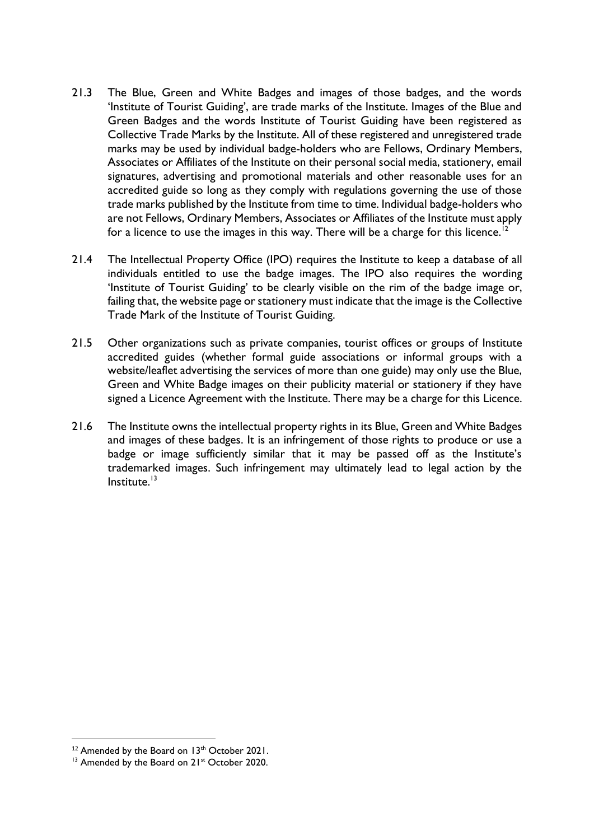- 21.3 The Blue, Green and White Badges and images of those badges, and the words 'Institute of Tourist Guiding', are trade marks of the Institute. Images of the Blue and Green Badges and the words Institute of Tourist Guiding have been registered as Collective Trade Marks by the Institute. All of these registered and unregistered trade marks may be used by individual badge-holders who are Fellows, Ordinary Members, Associates or Affiliates of the Institute on their personal social media, stationery, email signatures, advertising and promotional materials and other reasonable uses for an accredited guide so long as they comply with regulations governing the use of those trade marks published by the Institute from time to time. Individual badge-holders who are not Fellows, Ordinary Members, Associates or Affiliates of the Institute must apply for a licence to use the images in this way. There will be a charge for this licence.<sup>1</sup>
- 21.4 The Intellectual Property Office (IPO) requires the Institute to keep a database of all individuals entitled to use the badge images. The IPO also requires the wording 'Institute of Tourist Guiding' to be clearly visible on the rim of the badge image or, failing that, the website page or stationery must indicate that the image is the Collective Trade Mark of the Institute of Tourist Guiding.
- 21.5 Other organizations such as private companies, tourist offices or groups of Institute accredited guides (whether formal guide associations or informal groups with a website/leaflet advertising the services of more than one guide) may only use the Blue, Green and White Badge images on their publicity material or stationery if they have signed a Licence Agreement with the Institute. There may be a charge for this Licence.
- 21.6 The Institute owns the intellectual property rights in its Blue, Green and White Badges and images of these badges. It is an infringement of those rights to produce or use a badge or image sufficiently similar that it may be passed off as the Institute's trademarked images. Such infringement may ultimately lead to legal action by the Institute.<sup>13</sup>

<sup>&</sup>lt;sup>12</sup> Amended by the Board on 13<sup>th</sup> October 2021.

<sup>&</sup>lt;sup>13</sup> Amended by the Board on 21<sup>st</sup> October 2020.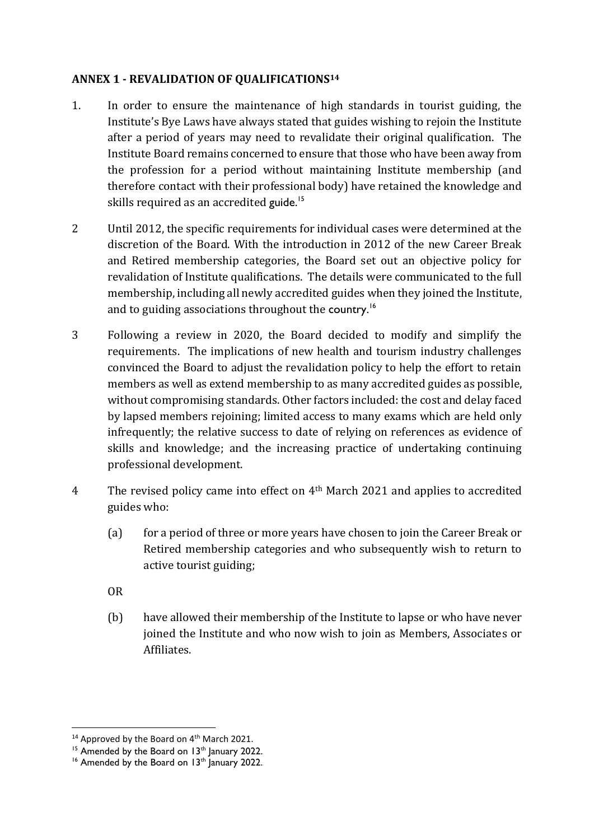### **ANNEX 1 - REVALIDATION OF QUALIFICATIONS<sup>14</sup>**

- 1. In order to ensure the maintenance of high standards in tourist guiding, the Institute's Bye Laws have always stated that guides wishing to rejoin the Institute after a period of years may need to revalidate their original qualification. The Institute Board remains concerned to ensure that those who have been away from the profession for a period without maintaining Institute membership (and therefore contact with their professional body) have retained the knowledge and skills required as an accredited guide.<sup>15</sup>
- 2 Until 2012, the specific requirements for individual cases were determined at the discretion of the Board. With the introduction in 2012 of the new Career Break and Retired membership categories, the Board set out an objective policy for revalidation of Institute qualifications. The details were communicated to the full membership, including all newly accredited guides when they joined the Institute, and to guiding associations throughout the country.<sup>16</sup>
- 3 Following a review in 2020, the Board decided to modify and simplify the requirements. The implications of new health and tourism industry challenges convinced the Board to adjust the revalidation policy to help the effort to retain members as well as extend membership to as many accredited guides as possible, without compromising standards. Other factors included: the cost and delay faced by lapsed members rejoining; limited access to many exams which are held only infrequently; the relative success to date of relying on references as evidence of skills and knowledge; and the increasing practice of undertaking continuing professional development.
- 4 The revised policy came into effect on 4<sup>th</sup> March 2021 and applies to accredited guides who:
	- (a) for a period of three or more years have chosen to join the Career Break or Retired membership categories and who subsequently wish to return to active tourist guiding;
	- OR
	- (b) have allowed their membership of the Institute to lapse or who have never joined the Institute and who now wish to join as Members, Associates or Affiliates.

<sup>&</sup>lt;sup>14</sup> Approved by the Board on  $4<sup>th</sup>$  March 2021.

<sup>&</sup>lt;sup>15</sup> Amended by the Board on 13<sup>th</sup> January 2022.

<sup>&</sup>lt;sup>16</sup> Amended by the Board on  $13<sup>th</sup>$  January 2022.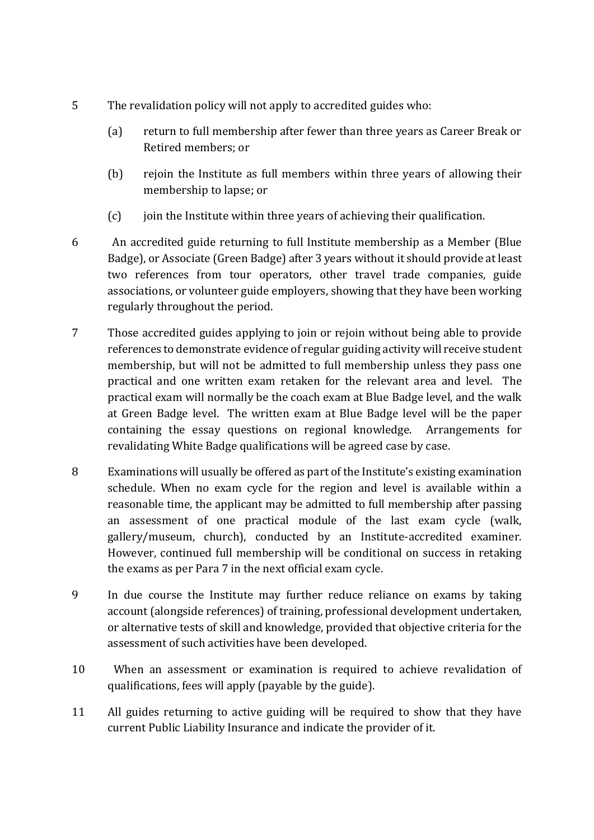- 5 The revalidation policy will not apply to accredited guides who:
	- (a) return to full membership after fewer than three years as Career Break or Retired members; or
	- (b) rejoin the Institute as full members within three years of allowing their membership to lapse; or
	- (c) join the Institute within three years of achieving their qualification.
- 6 An accredited guide returning to full Institute membership as a Member (Blue Badge), or Associate (Green Badge) after 3 years without it should provide at least two references from tour operators, other travel trade companies, guide associations, or volunteer guide employers, showing that they have been working regularly throughout the period.
- 7 Those accredited guides applying to join or rejoin without being able to provide references to demonstrate evidence of regular guiding activity will receive student membership, but will not be admitted to full membership unless they pass one practical and one written exam retaken for the relevant area and level. The practical exam will normally be the coach exam at Blue Badge level, and the walk at Green Badge level. The written exam at Blue Badge level will be the paper containing the essay questions on regional knowledge. Arrangements for revalidating White Badge qualifications will be agreed case by case.
- 8 Examinations will usually be offered as part of the Institute's existing examination schedule. When no exam cycle for the region and level is available within a reasonable time, the applicant may be admitted to full membership after passing an assessment of one practical module of the last exam cycle (walk, gallery/museum, church), conducted by an Institute-accredited examiner. However, continued full membership will be conditional on success in retaking the exams as per Para 7 in the next official exam cycle.
- 9 In due course the Institute may further reduce reliance on exams by taking account (alongside references) of training, professional development undertaken, or alternative tests of skill and knowledge, provided that objective criteria for the assessment of such activities have been developed.
- 10 When an assessment or examination is required to achieve revalidation of qualifications, fees will apply (payable by the guide).
- 11 All guides returning to active guiding will be required to show that they have current Public Liability Insurance and indicate the provider of it.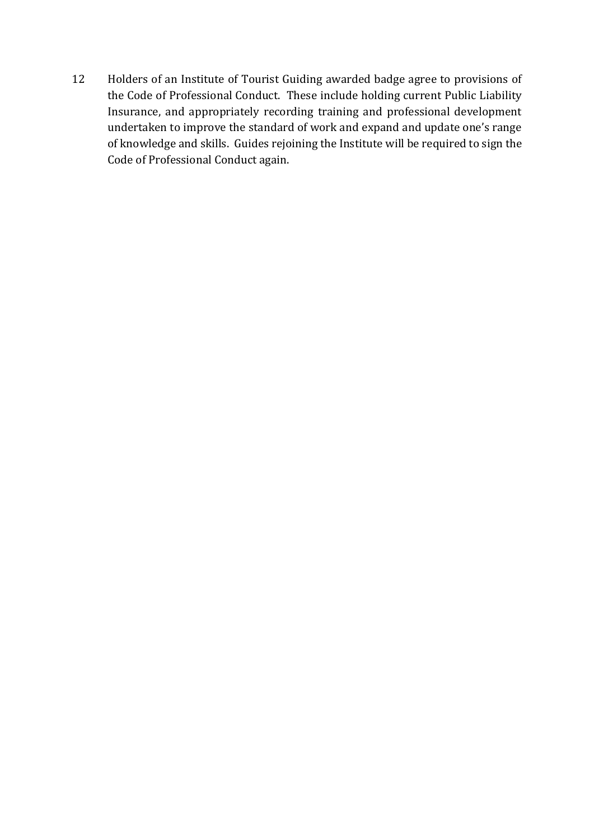12 Holders of an Institute of Tourist Guiding awarded badge agree to provisions of the Code of Professional Conduct. These include holding current Public Liability Insurance, and appropriately recording training and professional development undertaken to improve the standard of work and expand and update one's range of knowledge and skills. Guides rejoining the Institute will be required to sign the Code of Professional Conduct again.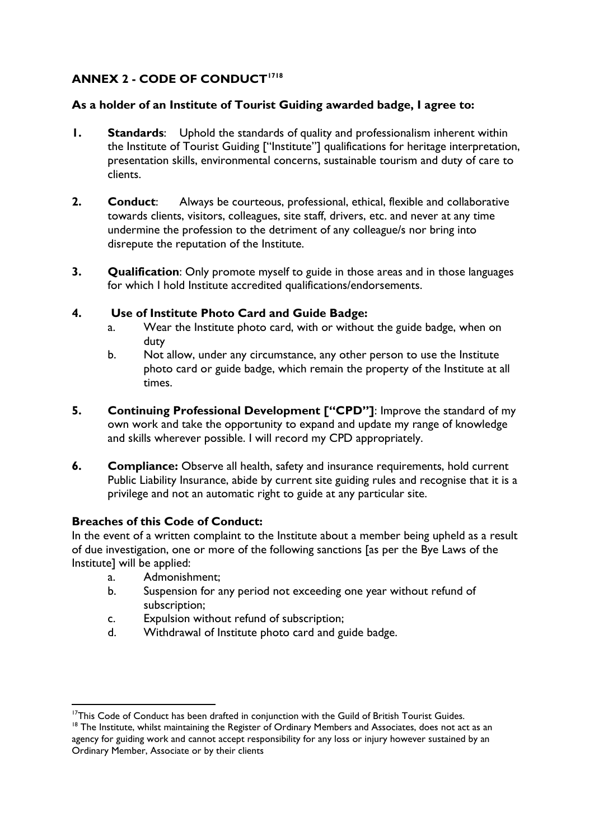## **ANNEX 2 - CODE OF CONDUCT<sup>1718</sup>**

### **As a holder of an Institute of Tourist Guiding awarded badge, I agree to:**

- **1. Standards**: Uphold the standards of quality and professionalism inherent within the Institute of Tourist Guiding ["Institute"] qualifications for heritage interpretation, presentation skills, environmental concerns, sustainable tourism and duty of care to clients.
- **2. Conduct**: Always be courteous, professional, ethical, flexible and collaborative towards clients, visitors, colleagues, site staff, drivers, etc. and never at any time undermine the profession to the detriment of any colleague/s nor bring into disrepute the reputation of the Institute.
- **3. Qualification**: Only promote myself to guide in those areas and in those languages for which I hold Institute accredited qualifications/endorsements.

### **4. Use of Institute Photo Card and Guide Badge:**

- a. Wear the Institute photo card, with or without the guide badge, when on duty
- b. Not allow, under any circumstance, any other person to use the Institute photo card or guide badge, which remain the property of the Institute at all times.
- **5. Continuing Professional Development ["CPD"]**: Improve the standard of my own work and take the opportunity to expand and update my range of knowledge and skills wherever possible. I will record my CPD appropriately.
- **6.** Compliance: Observe all health, safety and insurance requirements, hold current Public Liability Insurance, abide by current site guiding rules and recognise that it is a privilege and not an automatic right to guide at any particular site.

## **Breaches of this Code of Conduct:**

In the event of a written complaint to the Institute about a member being upheld as a result of due investigation, one or more of the following sanctions [as per the Bye Laws of the Institute] will be applied:

- a. Admonishment;
- b. Suspension for any period not exceeding one year without refund of subscription;
- c. Expulsion without refund of subscription;
- d. Withdrawal of Institute photo card and guide badge.

<sup>&</sup>lt;sup>17</sup>This Code of Conduct has been drafted in conjunction with the Guild of British Tourist Guides.

<sup>&</sup>lt;sup>18</sup> The Institute, whilst maintaining the Register of Ordinary Members and Associates, does not act as an agency for guiding work and cannot accept responsibility for any loss or injury however sustained by an Ordinary Member, Associate or by their clients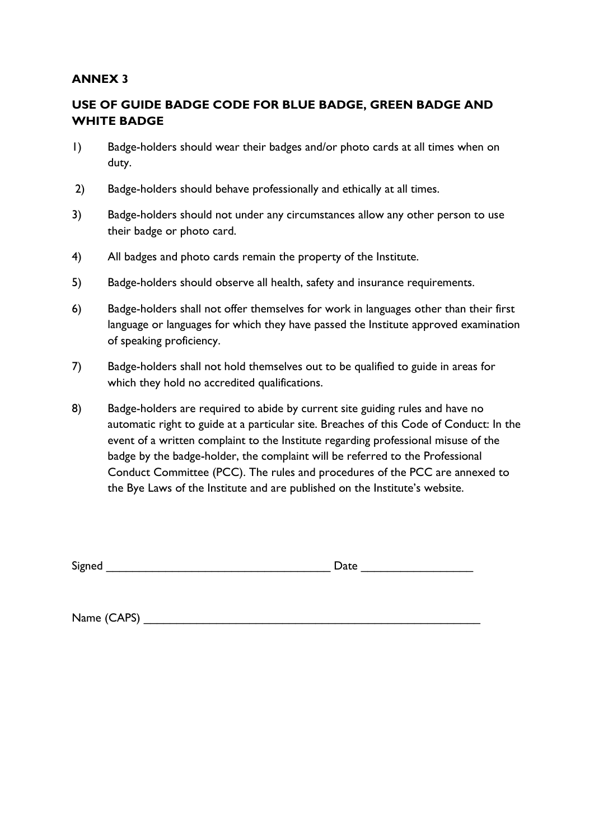### **ANNEX 3**

## **USE OF GUIDE BADGE CODE FOR BLUE BADGE, GREEN BADGE AND WHITE BADGE**

- 1) Badge-holders should wear their badges and/or photo cards at all times when on duty.
- 2) Badge-holders should behave professionally and ethically at all times.
- 3) Badge-holders should not under any circumstances allow any other person to use their badge or photo card.
- 4) All badges and photo cards remain the property of the Institute.
- 5) Badge-holders should observe all health, safety and insurance requirements.
- 6) Badge-holders shall not offer themselves for work in languages other than their first language or languages for which they have passed the Institute approved examination of speaking proficiency.
- 7) Badge-holders shall not hold themselves out to be qualified to guide in areas for which they hold no accredited qualifications.
- 8) Badge-holders are required to abide by current site guiding rules and have no automatic right to guide at a particular site. Breaches of this Code of Conduct: In the event of a written complaint to the Institute regarding professional misuse of the badge by the badge-holder, the complaint will be referred to the Professional Conduct Committee (PCC). The rules and procedures of the PCC are annexed to the Bye Laws of the Institute and are published on the Institute's website.

Signed **Example 2** Date  $\Box$ 

Name (CAPS)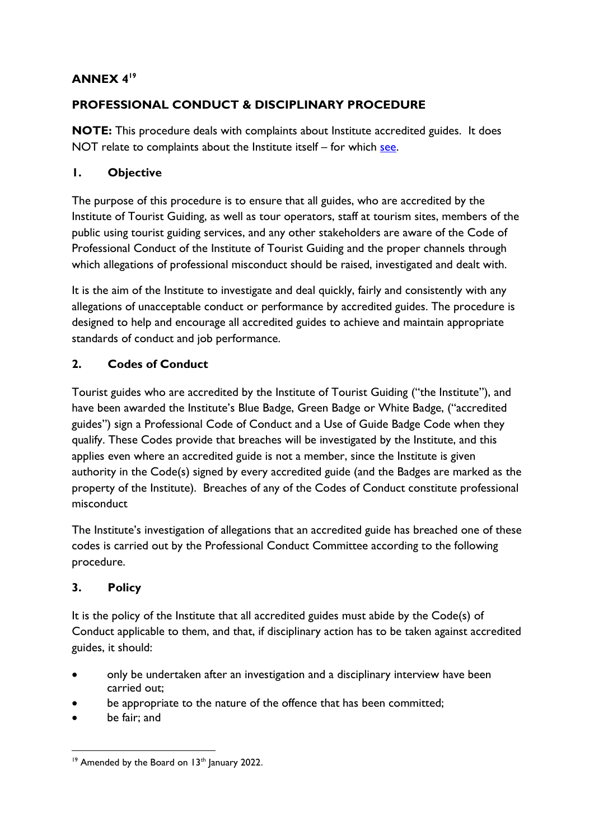## **ANNEX 4<sup>19</sup>**

## **PROFESSIONAL CONDUCT & DISCIPLINARY PROCEDURE**

**NOTE:** This procedure deals with complaints about Institute accredited guides. It does NOT relate to complaints about the Institute itself – for which [see.](https://www.itg.org.uk/about/policies-procedures-and-documents/complaints-policy-and-procedure/)

## **1. Objective**

The purpose of this procedure is to ensure that all guides, who are accredited by the Institute of Tourist Guiding, as well as tour operators, staff at tourism sites, members of the public using tourist guiding services, and any other stakeholders are aware of the Code of Professional Conduct of the Institute of Tourist Guiding and the proper channels through which allegations of professional misconduct should be raised, investigated and dealt with.

It is the aim of the Institute to investigate and deal quickly, fairly and consistently with any allegations of unacceptable conduct or performance by accredited guides. The procedure is designed to help and encourage all accredited guides to achieve and maintain appropriate standards of conduct and job performance.

## **2. Codes of Conduct**

Tourist guides who are accredited by the Institute of Tourist Guiding ("the Institute"), and have been awarded the Institute's Blue Badge, Green Badge or White Badge, ("accredited guides") sign a Professional Code of Conduct and a Use of Guide Badge Code when they qualify. These Codes provide that breaches will be investigated by the Institute, and this applies even where an accredited guide is not a member, since the Institute is given authority in the Code(s) signed by every accredited guide (and the Badges are marked as the property of the Institute). Breaches of any of the Codes of Conduct constitute professional misconduct

The Institute's investigation of allegations that an accredited guide has breached one of these codes is carried out by the Professional Conduct Committee according to the following procedure.

## **3. Policy**

It is the policy of the Institute that all accredited guides must abide by the Code(s) of Conduct applicable to them, and that, if disciplinary action has to be taken against accredited guides, it should:

- only be undertaken after an investigation and a disciplinary interview have been carried out;
- be appropriate to the nature of the offence that has been committed;
- be fair: and

<sup>&</sup>lt;sup>19</sup> Amended by the Board on 13<sup>th</sup> January 2022.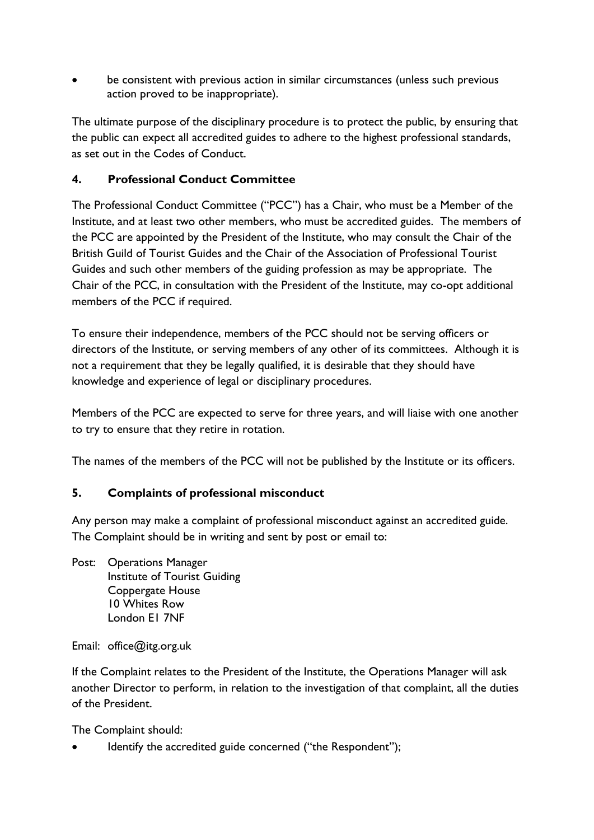be consistent with previous action in similar circumstances (unless such previous action proved to be inappropriate).

The ultimate purpose of the disciplinary procedure is to protect the public, by ensuring that the public can expect all accredited guides to adhere to the highest professional standards, as set out in the Codes of Conduct.

### **4. Professional Conduct Committee**

The Professional Conduct Committee ("PCC") has a Chair, who must be a Member of the Institute, and at least two other members, who must be accredited guides. The members of the PCC are appointed by the President of the Institute, who may consult the Chair of the British Guild of Tourist Guides and the Chair of the Association of Professional Tourist Guides and such other members of the guiding profession as may be appropriate. The Chair of the PCC, in consultation with the President of the Institute, may co-opt additional members of the PCC if required.

To ensure their independence, members of the PCC should not be serving officers or directors of the Institute, or serving members of any other of its committees. Although it is not a requirement that they be legally qualified, it is desirable that they should have knowledge and experience of legal or disciplinary procedures.

Members of the PCC are expected to serve for three years, and will liaise with one another to try to ensure that they retire in rotation.

The names of the members of the PCC will not be published by the Institute or its officers.

## **5. Complaints of professional misconduct**

Any person may make a complaint of professional misconduct against an accredited guide. The Complaint should be in writing and sent by post or email to:

Post: Operations Manager Institute of Tourist Guiding Coppergate House 10 Whites Row London E1 7NF

Email: office@itg.org.uk

If the Complaint relates to the President of the Institute, the Operations Manager will ask another Director to perform, in relation to the investigation of that complaint, all the duties of the President.

The Complaint should:

Identify the accredited guide concerned ("the Respondent");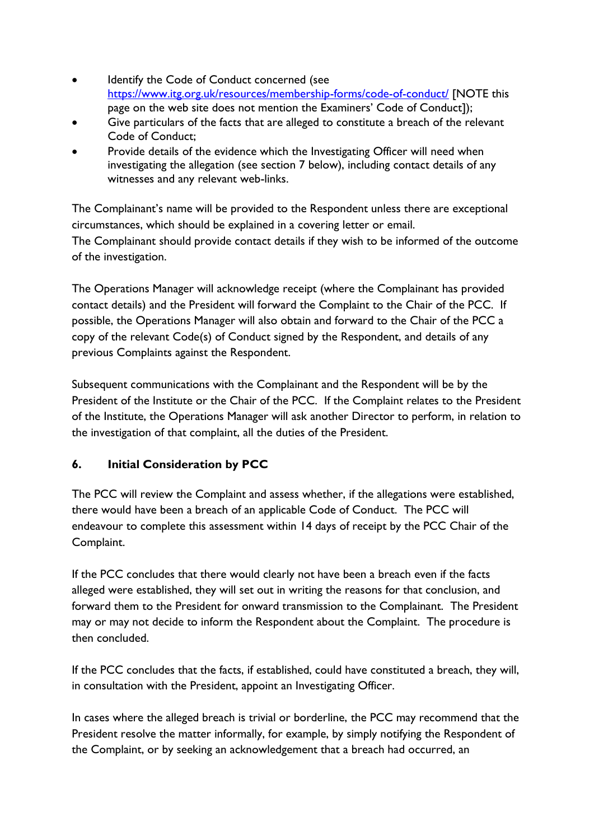- Identify the Code of Conduct concerned (see <https://www.itg.org.uk/resources/membership-forms/code-of-conduct/> [NOTE this page on the web site does not mention the Examiners' Code of Conduct]);
- Give particulars of the facts that are alleged to constitute a breach of the relevant Code of Conduct;
- Provide details of the evidence which the Investigating Officer will need when investigating the allegation (see section 7 below), including contact details of any witnesses and any relevant web-links.

The Complainant's name will be provided to the Respondent unless there are exceptional circumstances, which should be explained in a covering letter or email. The Complainant should provide contact details if they wish to be informed of the outcome of the investigation.

The Operations Manager will acknowledge receipt (where the Complainant has provided contact details) and the President will forward the Complaint to the Chair of the PCC. If possible, the Operations Manager will also obtain and forward to the Chair of the PCC a copy of the relevant Code(s) of Conduct signed by the Respondent, and details of any previous Complaints against the Respondent.

Subsequent communications with the Complainant and the Respondent will be by the President of the Institute or the Chair of the PCC. If the Complaint relates to the President of the Institute, the Operations Manager will ask another Director to perform, in relation to the investigation of that complaint, all the duties of the President.

## **6. Initial Consideration by PCC**

The PCC will review the Complaint and assess whether, if the allegations were established, there would have been a breach of an applicable Code of Conduct. The PCC will endeavour to complete this assessment within 14 days of receipt by the PCC Chair of the Complaint.

If the PCC concludes that there would clearly not have been a breach even if the facts alleged were established, they will set out in writing the reasons for that conclusion, and forward them to the President for onward transmission to the Complainant. The President may or may not decide to inform the Respondent about the Complaint. The procedure is then concluded.

If the PCC concludes that the facts, if established, could have constituted a breach, they will, in consultation with the President, appoint an Investigating Officer.

In cases where the alleged breach is trivial or borderline, the PCC may recommend that the President resolve the matter informally, for example, by simply notifying the Respondent of the Complaint, or by seeking an acknowledgement that a breach had occurred, an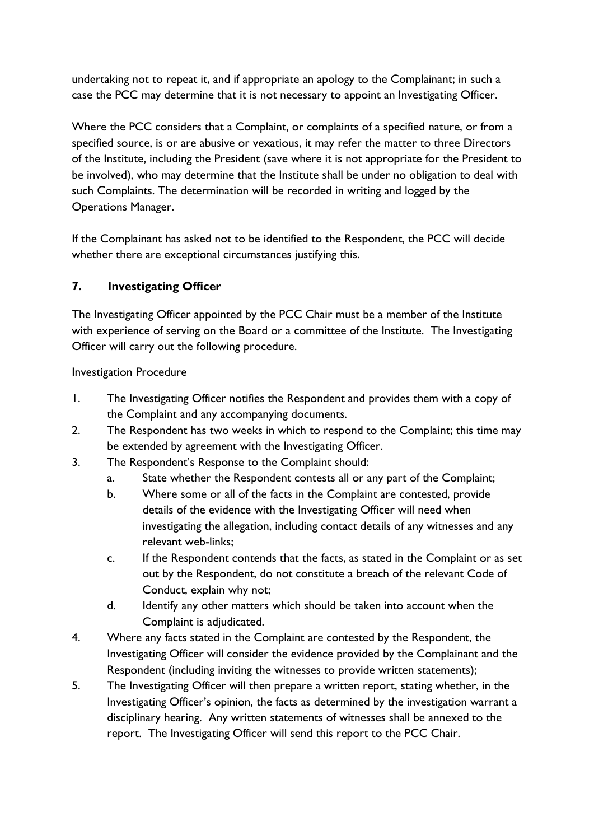undertaking not to repeat it, and if appropriate an apology to the Complainant; in such a case the PCC may determine that it is not necessary to appoint an Investigating Officer.

Where the PCC considers that a Complaint, or complaints of a specified nature, or from a specified source, is or are abusive or vexatious, it may refer the matter to three Directors of the Institute, including the President (save where it is not appropriate for the President to be involved), who may determine that the Institute shall be under no obligation to deal with such Complaints. The determination will be recorded in writing and logged by the Operations Manager.

If the Complainant has asked not to be identified to the Respondent, the PCC will decide whether there are exceptional circumstances justifying this.

## **7. Investigating Officer**

The Investigating Officer appointed by the PCC Chair must be a member of the Institute with experience of serving on the Board or a committee of the Institute. The Investigating Officer will carry out the following procedure.

Investigation Procedure

- 1. The Investigating Officer notifies the Respondent and provides them with a copy of the Complaint and any accompanying documents.
- 2. The Respondent has two weeks in which to respond to the Complaint; this time may be extended by agreement with the Investigating Officer.
- 3. The Respondent's Response to the Complaint should:
	- a. State whether the Respondent contests all or any part of the Complaint;
	- b. Where some or all of the facts in the Complaint are contested, provide details of the evidence with the Investigating Officer will need when investigating the allegation, including contact details of any witnesses and any relevant web-links;
	- c. If the Respondent contends that the facts, as stated in the Complaint or as set out by the Respondent, do not constitute a breach of the relevant Code of Conduct, explain why not;
	- d. Identify any other matters which should be taken into account when the Complaint is adjudicated.
- 4. Where any facts stated in the Complaint are contested by the Respondent, the Investigating Officer will consider the evidence provided by the Complainant and the Respondent (including inviting the witnesses to provide written statements);
- 5. The Investigating Officer will then prepare a written report, stating whether, in the Investigating Officer's opinion, the facts as determined by the investigation warrant a disciplinary hearing. Any written statements of witnesses shall be annexed to the report. The Investigating Officer will send this report to the PCC Chair.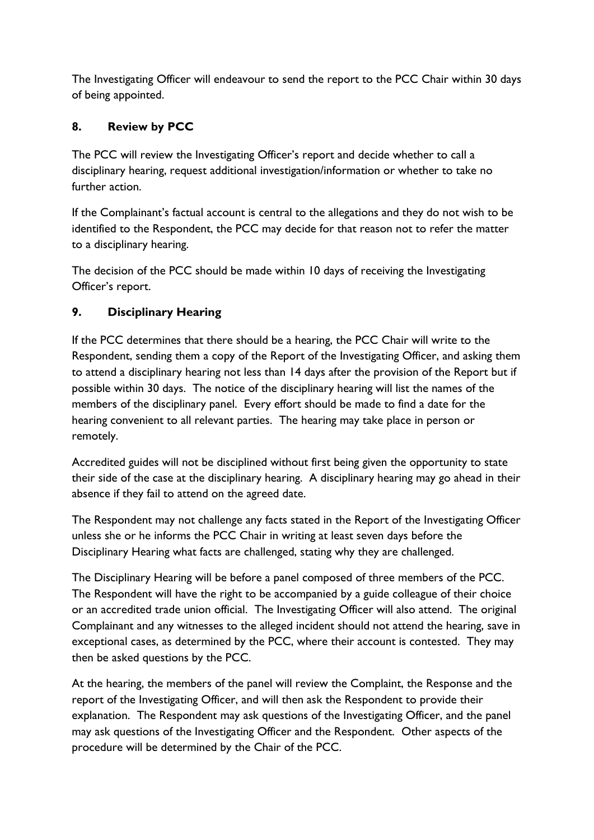The Investigating Officer will endeavour to send the report to the PCC Chair within 30 days of being appointed.

## **8. Review by PCC**

The PCC will review the Investigating Officer's report and decide whether to call a disciplinary hearing, request additional investigation/information or whether to take no further action.

If the Complainant's factual account is central to the allegations and they do not wish to be identified to the Respondent, the PCC may decide for that reason not to refer the matter to a disciplinary hearing.

The decision of the PCC should be made within 10 days of receiving the Investigating Officer's report.

## **9. Disciplinary Hearing**

If the PCC determines that there should be a hearing, the PCC Chair will write to the Respondent, sending them a copy of the Report of the Investigating Officer, and asking them to attend a disciplinary hearing not less than 14 days after the provision of the Report but if possible within 30 days. The notice of the disciplinary hearing will list the names of the members of the disciplinary panel. Every effort should be made to find a date for the hearing convenient to all relevant parties. The hearing may take place in person or remotely.

Accredited guides will not be disciplined without first being given the opportunity to state their side of the case at the disciplinary hearing. A disciplinary hearing may go ahead in their absence if they fail to attend on the agreed date.

The Respondent may not challenge any facts stated in the Report of the Investigating Officer unless she or he informs the PCC Chair in writing at least seven days before the Disciplinary Hearing what facts are challenged, stating why they are challenged.

The Disciplinary Hearing will be before a panel composed of three members of the PCC. The Respondent will have the right to be accompanied by a guide colleague of their choice or an accredited trade union official. The Investigating Officer will also attend. The original Complainant and any witnesses to the alleged incident should not attend the hearing, save in exceptional cases, as determined by the PCC, where their account is contested. They may then be asked questions by the PCC.

At the hearing, the members of the panel will review the Complaint, the Response and the report of the Investigating Officer, and will then ask the Respondent to provide their explanation. The Respondent may ask questions of the Investigating Officer, and the panel may ask questions of the Investigating Officer and the Respondent. Other aspects of the procedure will be determined by the Chair of the PCC.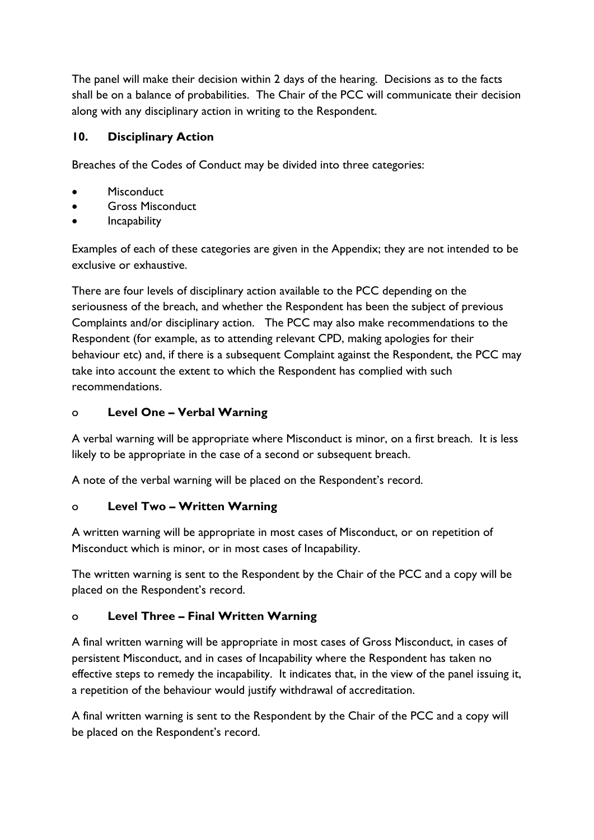The panel will make their decision within 2 days of the hearing. Decisions as to the facts shall be on a balance of probabilities. The Chair of the PCC will communicate their decision along with any disciplinary action in writing to the Respondent.

## **10. Disciplinary Action**

Breaches of the Codes of Conduct may be divided into three categories:

- **Misconduct**
- Gross Misconduct
- Incapability

Examples of each of these categories are given in the Appendix; they are not intended to be exclusive or exhaustive.

There are four levels of disciplinary action available to the PCC depending on the seriousness of the breach, and whether the Respondent has been the subject of previous Complaints and/or disciplinary action. The PCC may also make recommendations to the Respondent (for example, as to attending relevant CPD, making apologies for their behaviour etc) and, if there is a subsequent Complaint against the Respondent, the PCC may take into account the extent to which the Respondent has complied with such recommendations.

## o **Level One – Verbal Warning**

A verbal warning will be appropriate where Misconduct is minor, on a first breach. It is less likely to be appropriate in the case of a second or subsequent breach.

A note of the verbal warning will be placed on the Respondent's record.

## o **Level Two – Written Warning**

A written warning will be appropriate in most cases of Misconduct, or on repetition of Misconduct which is minor, or in most cases of Incapability.

The written warning is sent to the Respondent by the Chair of the PCC and a copy will be placed on the Respondent's record.

## o **Level Three – Final Written Warning**

A final written warning will be appropriate in most cases of Gross Misconduct, in cases of persistent Misconduct, and in cases of Incapability where the Respondent has taken no effective steps to remedy the incapability. It indicates that, in the view of the panel issuing it, a repetition of the behaviour would justify withdrawal of accreditation.

A final written warning is sent to the Respondent by the Chair of the PCC and a copy will be placed on the Respondent's record.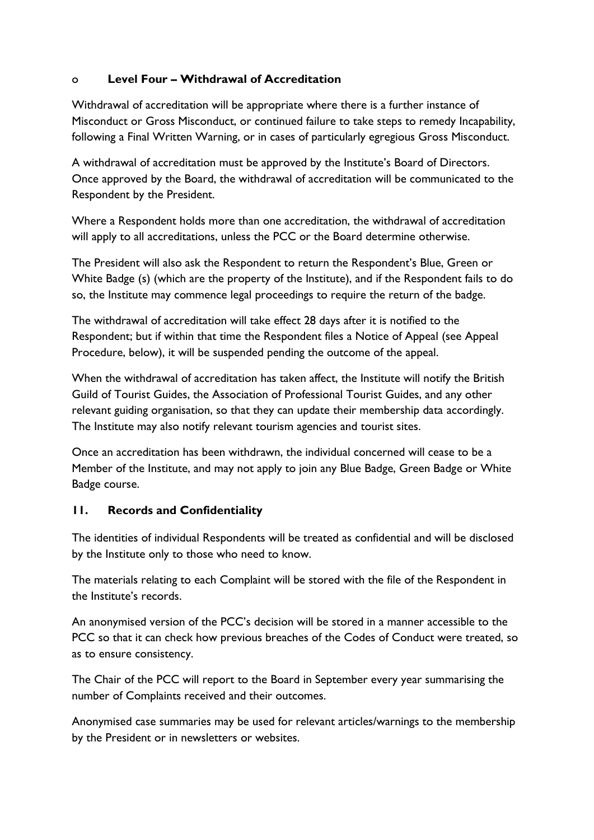### o **Level Four – Withdrawal of Accreditation**

Withdrawal of accreditation will be appropriate where there is a further instance of Misconduct or Gross Misconduct, or continued failure to take steps to remedy Incapability, following a Final Written Warning, or in cases of particularly egregious Gross Misconduct.

A withdrawal of accreditation must be approved by the Institute's Board of Directors. Once approved by the Board, the withdrawal of accreditation will be communicated to the Respondent by the President.

Where a Respondent holds more than one accreditation, the withdrawal of accreditation will apply to all accreditations, unless the PCC or the Board determine otherwise.

The President will also ask the Respondent to return the Respondent's Blue, Green or White Badge (s) (which are the property of the Institute), and if the Respondent fails to do so, the Institute may commence legal proceedings to require the return of the badge.

The withdrawal of accreditation will take effect 28 days after it is notified to the Respondent; but if within that time the Respondent files a Notice of Appeal (see Appeal Procedure, below), it will be suspended pending the outcome of the appeal.

When the withdrawal of accreditation has taken affect, the Institute will notify the British Guild of Tourist Guides, the Association of Professional Tourist Guides, and any other relevant guiding organisation, so that they can update their membership data accordingly. The Institute may also notify relevant tourism agencies and tourist sites.

Once an accreditation has been withdrawn, the individual concerned will cease to be a Member of the Institute, and may not apply to join any Blue Badge, Green Badge or White Badge course.

## **11. Records and Confidentiality**

The identities of individual Respondents will be treated as confidential and will be disclosed by the Institute only to those who need to know.

The materials relating to each Complaint will be stored with the file of the Respondent in the Institute's records.

An anonymised version of the PCC's decision will be stored in a manner accessible to the PCC so that it can check how previous breaches of the Codes of Conduct were treated, so as to ensure consistency.

The Chair of the PCC will report to the Board in September every year summarising the number of Complaints received and their outcomes.

Anonymised case summaries may be used for relevant articles/warnings to the membership by the President or in newsletters or websites.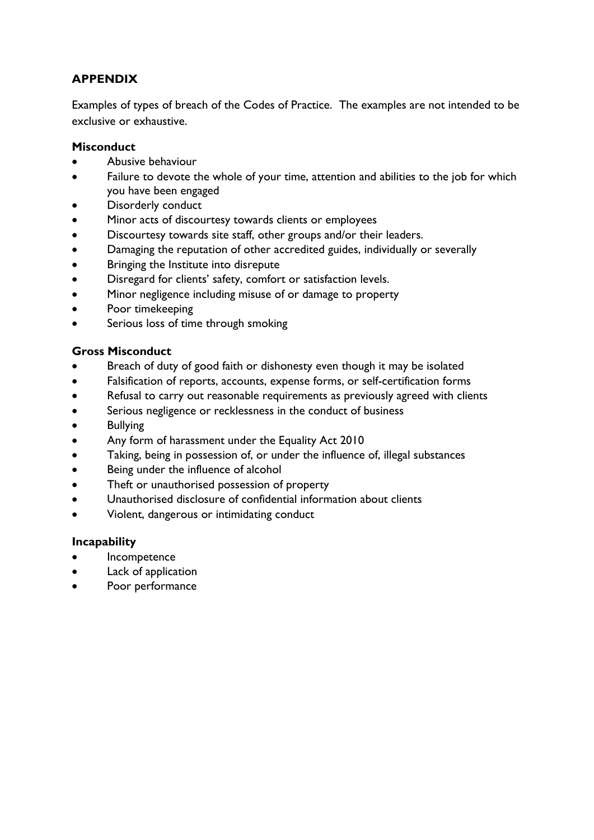## **APPENDIX**

Examples of types of breach of the Codes of Practice. The examples are not intended to be exclusive or exhaustive.

### **Misconduct**

- Abusive behaviour
- Failure to devote the whole of your time, attention and abilities to the job for which you have been engaged
- Disorderly conduct
- Minor acts of discourtesy towards clients or employees
- Discourtesy towards site staff, other groups and/or their leaders.
- Damaging the reputation of other accredited guides, individually or severally
- Bringing the Institute into disrepute
- Disregard for clients' safety, comfort or satisfaction levels.
- Minor negligence including misuse of or damage to property
- Poor timekeeping
- Serious loss of time through smoking

### **Gross Misconduct**

- Breach of duty of good faith or dishonesty even though it may be isolated
- Falsification of reports, accounts, expense forms, or self-certification forms
- Refusal to carry out reasonable requirements as previously agreed with clients
- Serious negligence or recklessness in the conduct of business
- **Bullying**
- Any form of harassment under the Equality Act 2010
- Taking, being in possession of, or under the influence of, illegal substances
- Being under the influence of alcohol
- Theft or unauthorised possession of property
- Unauthorised disclosure of confidential information about clients
- Violent, dangerous or intimidating conduct

### **Incapability**

- **Incompetence**
- Lack of application
- Poor performance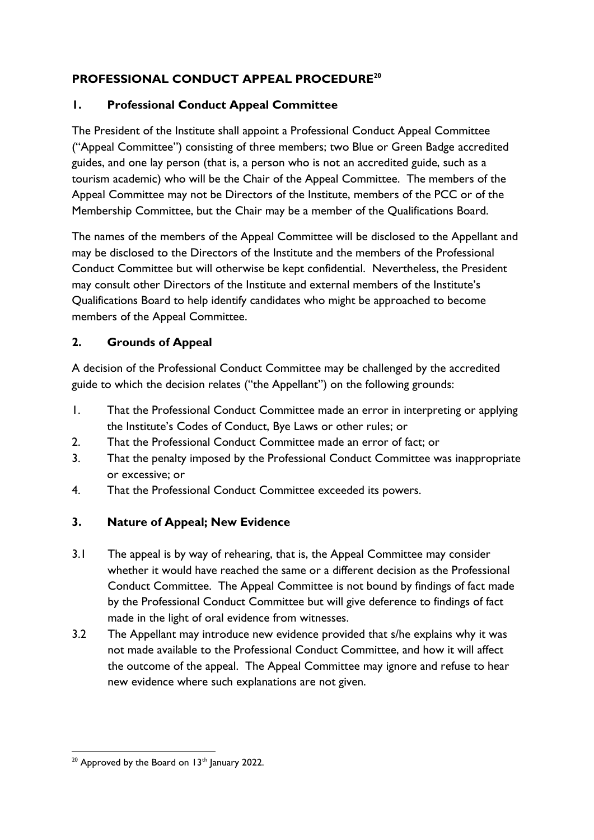## **PROFESSIONAL CONDUCT APPEAL PROCEDURE<sup>20</sup>**

## **1. Professional Conduct Appeal Committee**

The President of the Institute shall appoint a Professional Conduct Appeal Committee ("Appeal Committee") consisting of three members; two Blue or Green Badge accredited guides, and one lay person (that is, a person who is not an accredited guide, such as a tourism academic) who will be the Chair of the Appeal Committee. The members of the Appeal Committee may not be Directors of the Institute, members of the PCC or of the Membership Committee, but the Chair may be a member of the Qualifications Board.

The names of the members of the Appeal Committee will be disclosed to the Appellant and may be disclosed to the Directors of the Institute and the members of the Professional Conduct Committee but will otherwise be kept confidential. Nevertheless, the President may consult other Directors of the Institute and external members of the Institute's Qualifications Board to help identify candidates who might be approached to become members of the Appeal Committee.

## **2. Grounds of Appeal**

A decision of the Professional Conduct Committee may be challenged by the accredited guide to which the decision relates ("the Appellant") on the following grounds:

- 1. That the Professional Conduct Committee made an error in interpreting or applying the Institute's Codes of Conduct, Bye Laws or other rules; or
- 2. That the Professional Conduct Committee made an error of fact; or
- 3. That the penalty imposed by the Professional Conduct Committee was inappropriate or excessive; or
- 4. That the Professional Conduct Committee exceeded its powers.

## **3. Nature of Appeal; New Evidence**

- 3.1 The appeal is by way of rehearing, that is, the Appeal Committee may consider whether it would have reached the same or a different decision as the Professional Conduct Committee. The Appeal Committee is not bound by findings of fact made by the Professional Conduct Committee but will give deference to findings of fact made in the light of oral evidence from witnesses.
- 3.2 The Appellant may introduce new evidence provided that s/he explains why it was not made available to the Professional Conduct Committee, and how it will affect the outcome of the appeal. The Appeal Committee may ignore and refuse to hear new evidence where such explanations are not given.

 $20$  Approved by the Board on 13<sup>th</sup> January 2022.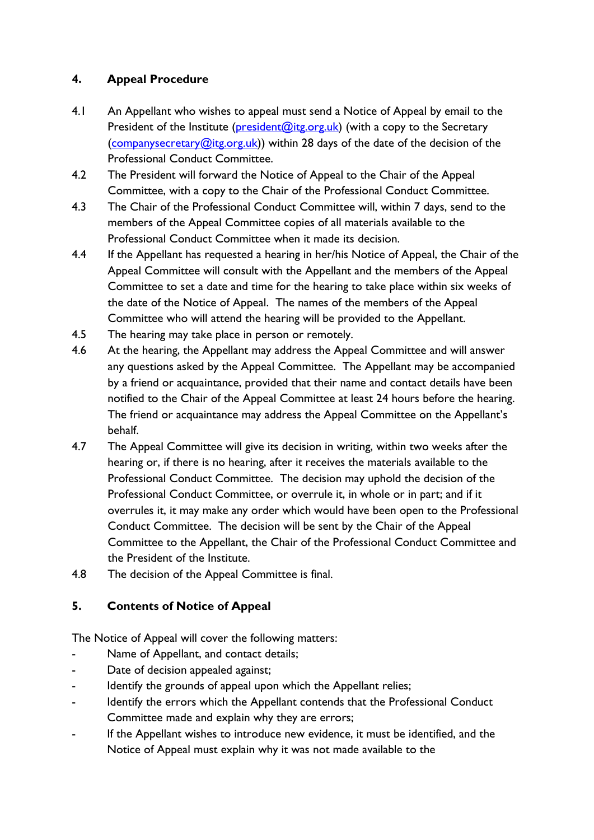## **4. Appeal Procedure**

- 4.1 An Appellant who wishes to appeal must send a Notice of Appeal by email to the President of the Institute ( $\frac{\text{president}(\mathcal{O}_{\text{it}})}{\text{president}}$  (with a copy to the Secretary [\(companysecretary@itg.org.uk\)](mailto:companysecretary@itg.org.uk)) within 28 days of the date of the decision of the Professional Conduct Committee.
- 4.2 The President will forward the Notice of Appeal to the Chair of the Appeal Committee, with a copy to the Chair of the Professional Conduct Committee.
- 4.3 The Chair of the Professional Conduct Committee will, within 7 days, send to the members of the Appeal Committee copies of all materials available to the Professional Conduct Committee when it made its decision.
- 4.4 If the Appellant has requested a hearing in her/his Notice of Appeal, the Chair of the Appeal Committee will consult with the Appellant and the members of the Appeal Committee to set a date and time for the hearing to take place within six weeks of the date of the Notice of Appeal. The names of the members of the Appeal Committee who will attend the hearing will be provided to the Appellant.
- 4.5 The hearing may take place in person or remotely.
- 4.6 At the hearing, the Appellant may address the Appeal Committee and will answer any questions asked by the Appeal Committee. The Appellant may be accompanied by a friend or acquaintance, provided that their name and contact details have been notified to the Chair of the Appeal Committee at least 24 hours before the hearing. The friend or acquaintance may address the Appeal Committee on the Appellant's behalf.
- 4.7 The Appeal Committee will give its decision in writing, within two weeks after the hearing or, if there is no hearing, after it receives the materials available to the Professional Conduct Committee. The decision may uphold the decision of the Professional Conduct Committee, or overrule it, in whole or in part; and if it overrules it, it may make any order which would have been open to the Professional Conduct Committee. The decision will be sent by the Chair of the Appeal Committee to the Appellant, the Chair of the Professional Conduct Committee and the President of the Institute.
- 4.8 The decision of the Appeal Committee is final.

## **5. Contents of Notice of Appeal**

The Notice of Appeal will cover the following matters:

- Name of Appellant, and contact details;
- Date of decision appealed against;
- Identify the grounds of appeal upon which the Appellant relies;
- Identify the errors which the Appellant contends that the Professional Conduct Committee made and explain why they are errors;
- If the Appellant wishes to introduce new evidence, it must be identified, and the Notice of Appeal must explain why it was not made available to the